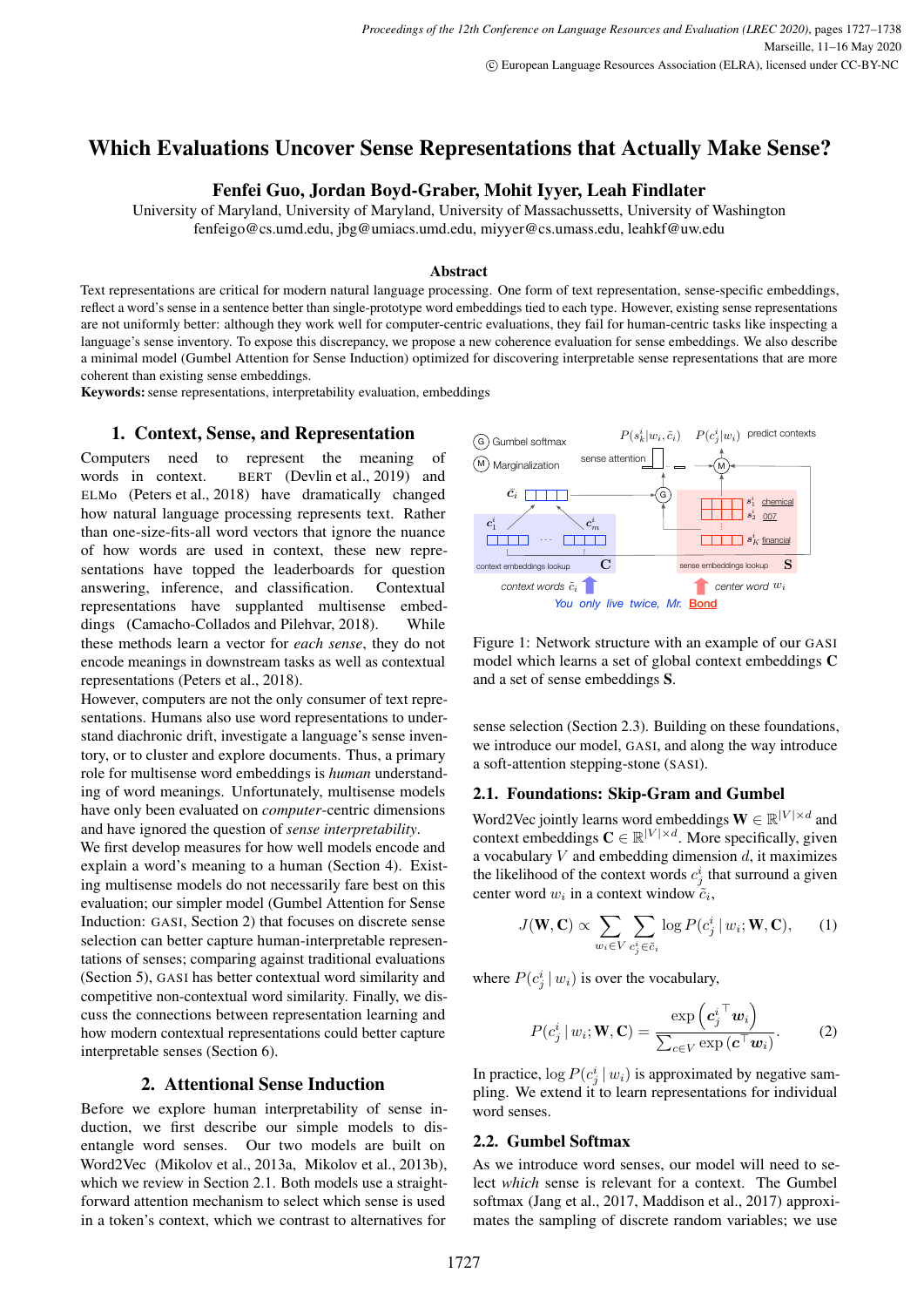# Which Evaluations Uncover Sense Representations that Actually Make Sense?

# Fenfei Guo, Jordan Boyd-Graber, Mohit Iyyer, Leah Findlater

University of Maryland, University of Maryland, University of Massachussetts, University of Washington fenfeigo@cs.umd.edu, jbg@umiacs.umd.edu, miyyer@cs.umass.edu, leahkf@uw.edu

#### Abstract

Text representations are critical for modern natural language processing. One form of text representation, sense-specific embeddings, reflect a word's sense in a sentence better than single-prototype word embeddings tied to each type. However, existing sense representations are not uniformly better: although they work well for computer-centric evaluations, they fail for human-centric tasks like inspecting a language's sense inventory. To expose this discrepancy, we propose a new coherence evaluation for sense embeddings. We also describe a minimal model (Gumbel Attention for Sense Induction) optimized for discovering interpretable sense representations that are more coherent than existing sense embeddings.

Keywords: sense representations, interpretability evaluation, embeddings

### 1. Context, Sense, and Representation

Computers need to represent the meaning of words in context. BERT (Devlin et al., 2019) and ELMo (Peters et al., 2018) have dramatically changed how natural language processing represents text. Rather than one-size-fits-all word vectors that ignore the nuance of how words are used in context, these new representations have topped the leaderboards for question answering, inference, and classification. Contextual representations have supplanted multisense embeddings (Camacho-Collados and Pilehvar, 2018). While these methods learn a vector for *each sense*, they do not encode meanings in downstream tasks as well as contextual representations (Peters et al., 2018).

However, computers are not the only consumer of text representations. Humans also use word representations to understand diachronic drift, investigate a language's sense inventory, or to cluster and explore documents. Thus, a primary role for multisense word embeddings is *human* understanding of word meanings. Unfortunately, multisense models have only been evaluated on *computer*-centric dimensions and have ignored the question of *sense interpretability*.

We first develop measures for how well models encode and explain a word's meaning to a human (Section 4). Existing multisense models do not necessarily fare best on this evaluation; our simpler model (Gumbel Attention for Sense Induction: GASI, Section 2) that focuses on discrete sense selection can better capture human-interpretable representations of senses; comparing against traditional evaluations (Section 5), GASI has better contextual word similarity and competitive non-contextual word similarity. Finally, we discuss the connections between representation learning and how modern contextual representations could better capture interpretable senses (Section 6).

#### 2. Attentional Sense Induction

Before we explore human interpretability of sense induction, we first describe our simple models to disentangle word senses. Our two models are built on Word2Vec (Mikolov et al., 2013a, Mikolov et al., 2013b), which we review in Section 2.1. Both models use a straightforward attention mechanism to select which sense is used in a token's context, which we contrast to alternatives for



Figure 1: Network structure with an example of our GASI model which learns a set of global context embeddings C and a set of sense embeddings S.

sense selection (Section 2.3). Building on these foundations, we introduce our model, GASI, and along the way introduce a soft-attention stepping-stone (SASI).

#### 2.1. Foundations: Skip-Gram and Gumbel

Word2Vec jointly learns word embeddings  $\mathbf{W} \in \mathbb{R}^{|V| \times d}$  and context embeddings  $\mathbf{C} \in \mathbb{R}^{|V| \times d}$ . More specifically, given a vocabulary  $V$  and embedding dimension  $d$ , it maximizes the likelihood of the context words  $c_j^i$  that surround a given center word  $w_i$  in a context window  $\tilde{c}_i$ ,

$$
J(\mathbf{W}, \mathbf{C}) \propto \sum_{w_i \in V} \sum_{c_j^i \in \tilde{c}_i} \log P(c_j^i \, | \, w_i; \mathbf{W}, \mathbf{C}), \qquad (1)
$$

where  $P(c_j^i | w_i)$  is over the vocabulary,

$$
P(c_j^i | w_i; \mathbf{W}, \mathbf{C}) = \frac{\exp\left(c_j^i \mathbf{W}_i\right)}{\sum_{c \in V} \exp\left(c \mathbf{W}_i\right)}.
$$
 (2)

In practice,  $\log P(c_j^i | w_i)$  is approximated by negative sampling. We extend it to learn representations for individual word senses.

# 2.2. Gumbel Softmax

As we introduce word senses, our model will need to select *which* sense is relevant for a context. The Gumbel softmax (Jang et al., 2017, Maddison et al., 2017) approximates the sampling of discrete random variables; we use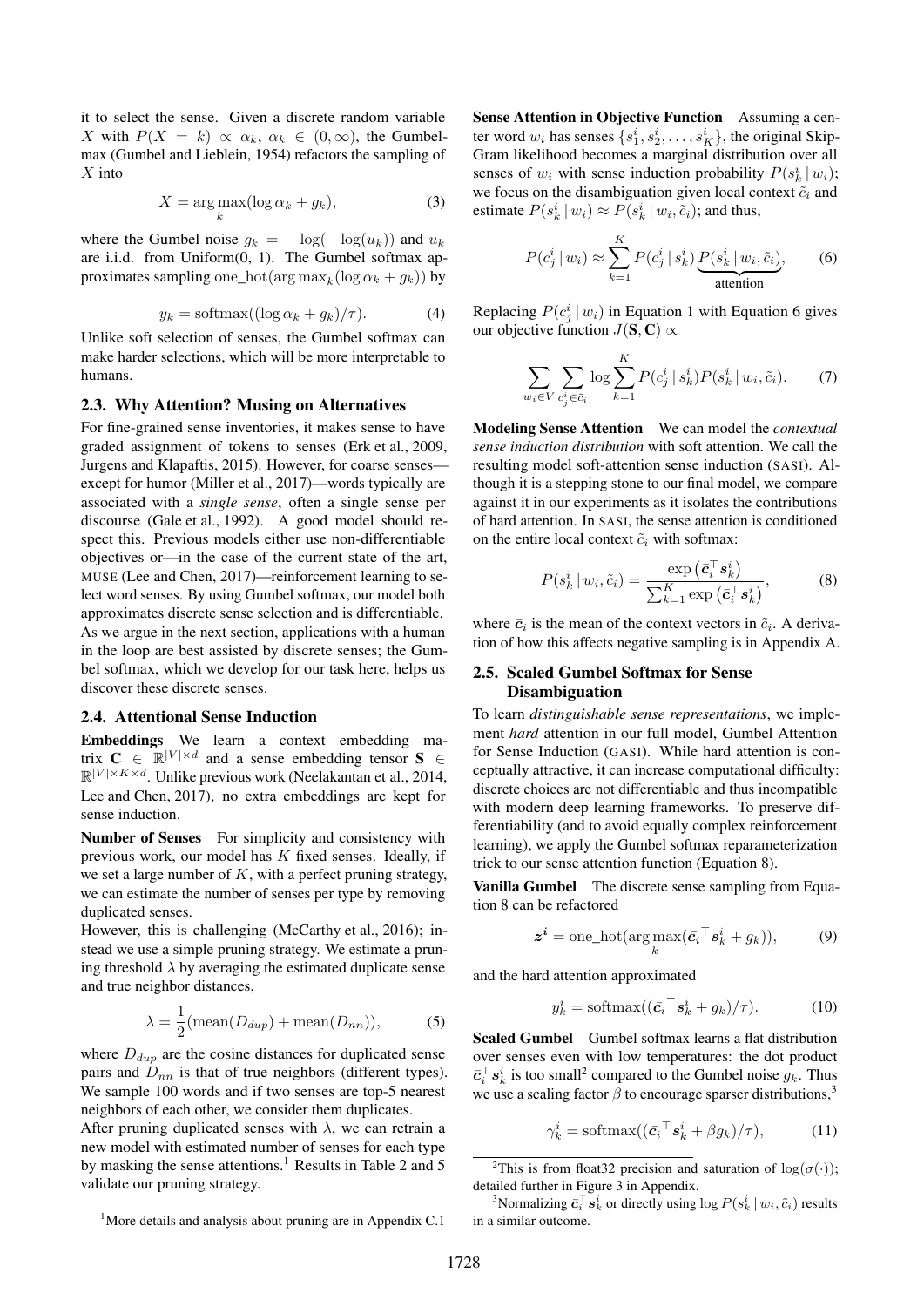it to select the sense. Given a discrete random variable X with  $P(X = k) \propto \alpha_k, \alpha_k \in (0, \infty)$ , the Gumbelmax (Gumbel and Lieblein, 1954) refactors the sampling of  $X$  into

$$
X = \underset{k}{\arg \max} (\log \alpha_k + g_k), \tag{3}
$$

where the Gumbel noise  $g_k = -\log(-\log(u_k))$  and  $u_k$ are i.i.d. from Uniform(0, 1). The Gumbel softmax approximates sampling one\_hot( $\arg \max_k (\log \alpha_k + g_k)$ ) by

$$
y_k = \text{softmax}((\log \alpha_k + g_k)/\tau). \tag{4}
$$

Unlike soft selection of senses, the Gumbel softmax can make harder selections, which will be more interpretable to humans.

#### 2.3. Why Attention? Musing on Alternatives

For fine-grained sense inventories, it makes sense to have graded assignment of tokens to senses (Erk et al., 2009, Jurgens and Klapaftis, 2015). However, for coarse senses except for humor (Miller et al., 2017)—words typically are associated with a *single sense*, often a single sense per discourse (Gale et al., 1992). A good model should respect this. Previous models either use non-differentiable objectives or—in the case of the current state of the art, MUSE (Lee and Chen, 2017)—reinforcement learning to select word senses. By using Gumbel softmax, our model both approximates discrete sense selection and is differentiable. As we argue in the next section, applications with a human in the loop are best assisted by discrete senses; the Gumbel softmax, which we develop for our task here, helps us discover these discrete senses.

#### 2.4. Attentional Sense Induction

Embeddings We learn a context embedding matrix  $C \in \mathbb{R}^{|V| \times d}$  and a sense embedding tensor  $S \in \mathbb{R}^{|V| \times d}$  $\mathbb{R}^{|V| \times K \times d}$ . Unlike previous work (Neelakantan et al., 2014, Lee and Chen, 2017), no extra embeddings are kept for sense induction.

Number of Senses For simplicity and consistency with previous work, our model has  $K$  fixed senses. Ideally, if we set a large number of  $K$ , with a perfect pruning strategy, we can estimate the number of senses per type by removing duplicated senses.

However, this is challenging (McCarthy et al., 2016); instead we use a simple pruning strategy. We estimate a pruning threshold  $\lambda$  by averaging the estimated duplicate sense and true neighbor distances,

$$
\lambda = \frac{1}{2}(\text{mean}(D_{dup}) + \text{mean}(D_{nn})),\tag{5}
$$

where  $D_{dup}$  are the cosine distances for duplicated sense pairs and  $D_{nn}$  is that of true neighbors (different types). We sample 100 words and if two senses are top-5 nearest neighbors of each other, we consider them duplicates.

After pruning duplicated senses with  $\lambda$ , we can retrain a new model with estimated number of senses for each type by masking the sense attentions.<sup>1</sup> Results in Table 2 and 5 validate our pruning strategy.

Sense Attention in Objective Function Assuming a center word  $w_i$  has senses  $\{s_1^i, s_2^i, \dots, s_K^i\}$ , the original Skip-Gram likelihood becomes a marginal distribution over all senses of  $w_i$  with sense induction probability  $P(s_k^i | w_i)$ ; we focus on the disambiguation given local context  $\tilde{c}_i$  and estimate  $P(s_k^i | w_i) \approx P(s_k^i | w_i, \tilde{c}_i)$ ; and thus,

$$
P(c_j^i | w_i) \approx \sum_{k=1}^K P(c_j^i | s_k^i) \underbrace{P(s_k^i | w_i, \tilde{c}_i)}_{\text{attention}}, \tag{6}
$$

Replacing  $P(c_j^i | w_i)$  in Equation 1 with Equation 6 gives our objective function  $J(\mathbf{S}, \mathbf{C}) \propto$ 

$$
\sum_{w_i \in V} \sum_{c_j^i \in \tilde{c}_i} \log \sum_{k=1}^K P(c_j^i \mid s_k^i) P(s_k^i \mid w_i, \tilde{c}_i). \tag{7}
$$

Modeling Sense Attention We can model the *contextual sense induction distribution* with soft attention. We call the resulting model soft-attention sense induction (SASI). Although it is a stepping stone to our final model, we compare against it in our experiments as it isolates the contributions of hard attention. In SASI, the sense attention is conditioned on the entire local context  $\tilde{c}_i$  with softmax:

$$
P(s_k^i | w_i, \tilde{c}_i) = \frac{\exp\left(\bar{c}_i^\top s_k^i\right)}{\sum_{k=1}^K \exp\left(\bar{c}_i^\top s_k^i\right)},\tag{8}
$$

where  $\bar{c}_i$  is the mean of the context vectors in  $\tilde{c}_i$ . A derivation of how this affects negative sampling is in Appendix A.

#### 2.5. Scaled Gumbel Softmax for Sense Disambiguation

To learn *distinguishable sense representations*, we implement *hard* attention in our full model, Gumbel Attention for Sense Induction (GASI). While hard attention is conceptually attractive, it can increase computational difficulty: discrete choices are not differentiable and thus incompatible with modern deep learning frameworks. To preserve differentiability (and to avoid equally complex reinforcement learning), we apply the Gumbel softmax reparameterization trick to our sense attention function (Equation 8).

Vanilla Gumbel The discrete sense sampling from Equation 8 can be refactored

$$
\boldsymbol{z}^i = \text{one\_hot}(\arg\max_k (\bar{c}_i \mathbf{I} \, \mathbf{s}_k^i + g_k)),\tag{9}
$$

and the hard attention approximated

$$
y_k^i = \text{softmax}((\bar{c}_i{}^{\top} s_k^i + g_k)/\tau). \tag{10}
$$

Scaled Gumbel Gumbel softmax learns a flat distribution over senses even with low temperatures: the dot product  $\bar{c}_i^{\top} s_k^i$  is too small<sup>2</sup> compared to the Gumbel noise  $g_k$ . Thus we use a scaling factor  $\beta$  to encourage sparser distributions,<sup>3</sup>

$$
\gamma_k^i = \text{softmax}((\bar{c}_i{}^{\top} s_k^i + \beta g_k)/\tau), \quad (11)
$$

<sup>&</sup>lt;sup>2</sup>This is from float 32 precision and saturation of  $log(\sigma(\cdot))$ ; detailed further in Figure 3 in Appendix.

<sup>&</sup>lt;sup>3</sup>Normalizing  $\bar{c}_i^{\top} s_k^i$  or directly using  $\log P(s_k^i \mid w_i, \tilde{c}_i)$  results in a similar outcome.

 $1$ More details and analysis about pruning are in Appendix C.1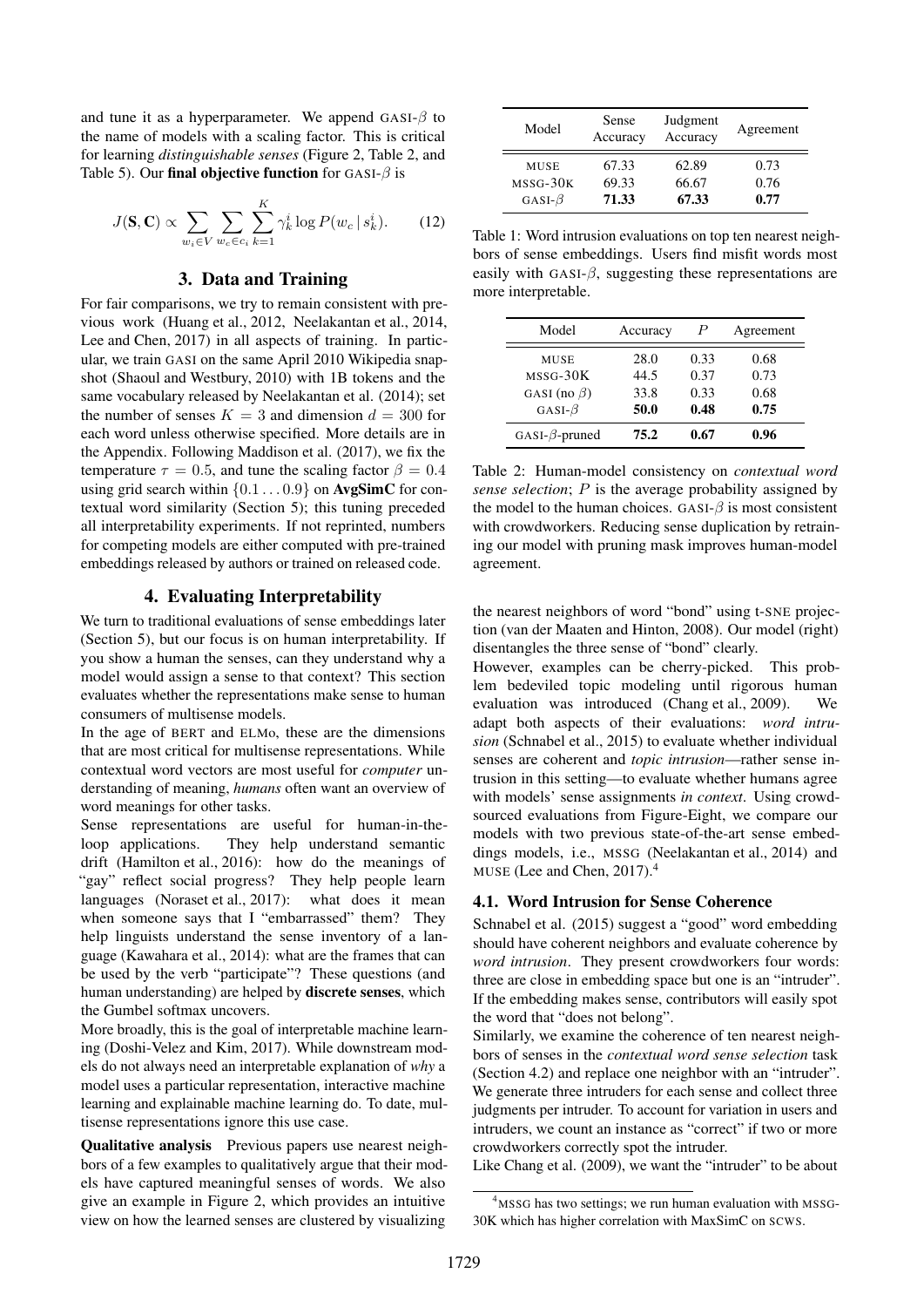and tune it as a hyperparameter. We append GASI- $\beta$  to the name of models with a scaling factor. This is critical for learning *distinguishable senses* (Figure 2, Table 2, and Table 5). Our final objective function for GASI- $\beta$  is

$$
J(\mathbf{S}, \mathbf{C}) \propto \sum_{w_i \in V} \sum_{w_c \in c_i} \sum_{k=1}^K \gamma_k^i \log P(w_c \mid s_k^i). \tag{12}
$$

## 3. Data and Training

For fair comparisons, we try to remain consistent with previous work (Huang et al., 2012, Neelakantan et al., 2014, Lee and Chen, 2017) in all aspects of training. In particular, we train GASI on the same April 2010 Wikipedia snapshot (Shaoul and Westbury, 2010) with 1B tokens and the same vocabulary released by Neelakantan et al. (2014); set the number of senses  $K = 3$  and dimension  $d = 300$  for each word unless otherwise specified. More details are in the Appendix. Following Maddison et al. (2017), we fix the temperature  $\tau = 0.5$ , and tune the scaling factor  $\beta = 0.4$ using grid search within  $\{0.1 \ldots 0.9\}$  on **AvgSimC** for contextual word similarity (Section 5); this tuning preceded all interpretability experiments. If not reprinted, numbers for competing models are either computed with pre-trained embeddings released by authors or trained on released code.

#### 4. Evaluating Interpretability

We turn to traditional evaluations of sense embeddings later (Section 5), but our focus is on human interpretability. If you show a human the senses, can they understand why a model would assign a sense to that context? This section evaluates whether the representations make sense to human consumers of multisense models.

In the age of BERT and ELMo, these are the dimensions that are most critical for multisense representations. While contextual word vectors are most useful for *computer* understanding of meaning, *humans* often want an overview of word meanings for other tasks.

Sense representations are useful for human-in-theloop applications. They help understand semantic drift (Hamilton et al., 2016): how do the meanings of "gay" reflect social progress? They help people learn languages (Noraset et al., 2017): what does it mean when someone says that I "embarrassed" them? They help linguists understand the sense inventory of a language (Kawahara et al., 2014): what are the frames that can be used by the verb "participate"? These questions (and human understanding) are helped by discrete senses, which the Gumbel softmax uncovers.

More broadly, this is the goal of interpretable machine learning (Doshi-Velez and Kim, 2017). While downstream models do not always need an interpretable explanation of *why* a model uses a particular representation, interactive machine learning and explainable machine learning do. To date, multisense representations ignore this use case.

Qualitative analysis Previous papers use nearest neighbors of a few examples to qualitatively argue that their models have captured meaningful senses of words. We also give an example in Figure 2, which provides an intuitive view on how the learned senses are clustered by visualizing

| Model                     | Sense<br>Accuracy | Judgment<br>Accuracy | Agreement    |
|---------------------------|-------------------|----------------------|--------------|
| <b>MUSE</b><br>$MSSG-30K$ | 67.33<br>69.33    | 62.89<br>66.67       | 0.73<br>0.76 |
| GASI- $\beta$             | 71.33             | 67.33                | 0.77         |

Table 1: Word intrusion evaluations on top ten nearest neighbors of sense embeddings. Users find misfit words most easily with GASI- $\beta$ , suggesting these representations are more interpretable.

| Model                 | Accuracy | P    | Agreement |
|-----------------------|----------|------|-----------|
| <b>MUSE</b>           | 28.0     | 0.33 | 0.68      |
| $MSSG-30K$            | 44.5     | 0.37 | 0.73      |
| GASI (no $\beta$ )    | 33.8     | 0.33 | 0.68      |
| GASI- $\beta$         | 50.0     | 0.48 | 0.75      |
| GASI- $\beta$ -pruned | 75.2     | 0.67 | 0.96      |

Table 2: Human-model consistency on *contextual word sense selection*; P is the average probability assigned by the model to the human choices. GASI- $\beta$  is most consistent with crowdworkers. Reducing sense duplication by retraining our model with pruning mask improves human-model agreement.

the nearest neighbors of word "bond" using t-SNE projection (van der Maaten and Hinton, 2008). Our model (right) disentangles the three sense of "bond" clearly.

However, examples can be cherry-picked. This problem bedeviled topic modeling until rigorous human evaluation was introduced (Chang et al., 2009). We adapt both aspects of their evaluations: *word intrusion* (Schnabel et al., 2015) to evaluate whether individual senses are coherent and *topic intrusion*—rather sense intrusion in this setting—to evaluate whether humans agree with models' sense assignments *in context*. Using crowdsourced evaluations from Figure-Eight, we compare our models with two previous state-of-the-art sense embeddings models, i.e., MSSG (Neelakantan et al., 2014) and MUSE (Lee and Chen,  $2017$ ).<sup>4</sup>

## 4.1. Word Intrusion for Sense Coherence

Schnabel et al. (2015) suggest a "good" word embedding should have coherent neighbors and evaluate coherence by *word intrusion*. They present crowdworkers four words: three are close in embedding space but one is an "intruder". If the embedding makes sense, contributors will easily spot the word that "does not belong".

Similarly, we examine the coherence of ten nearest neighbors of senses in the *contextual word sense selection* task (Section 4.2) and replace one neighbor with an "intruder". We generate three intruders for each sense and collect three judgments per intruder. To account for variation in users and intruders, we count an instance as "correct" if two or more crowdworkers correctly spot the intruder.

Like Chang et al. (2009), we want the "intruder" to be about

<sup>&</sup>lt;sup>4</sup>MSSG has two settings; we run human evaluation with MSSG-30K which has higher correlation with MaxSimC on SCWS.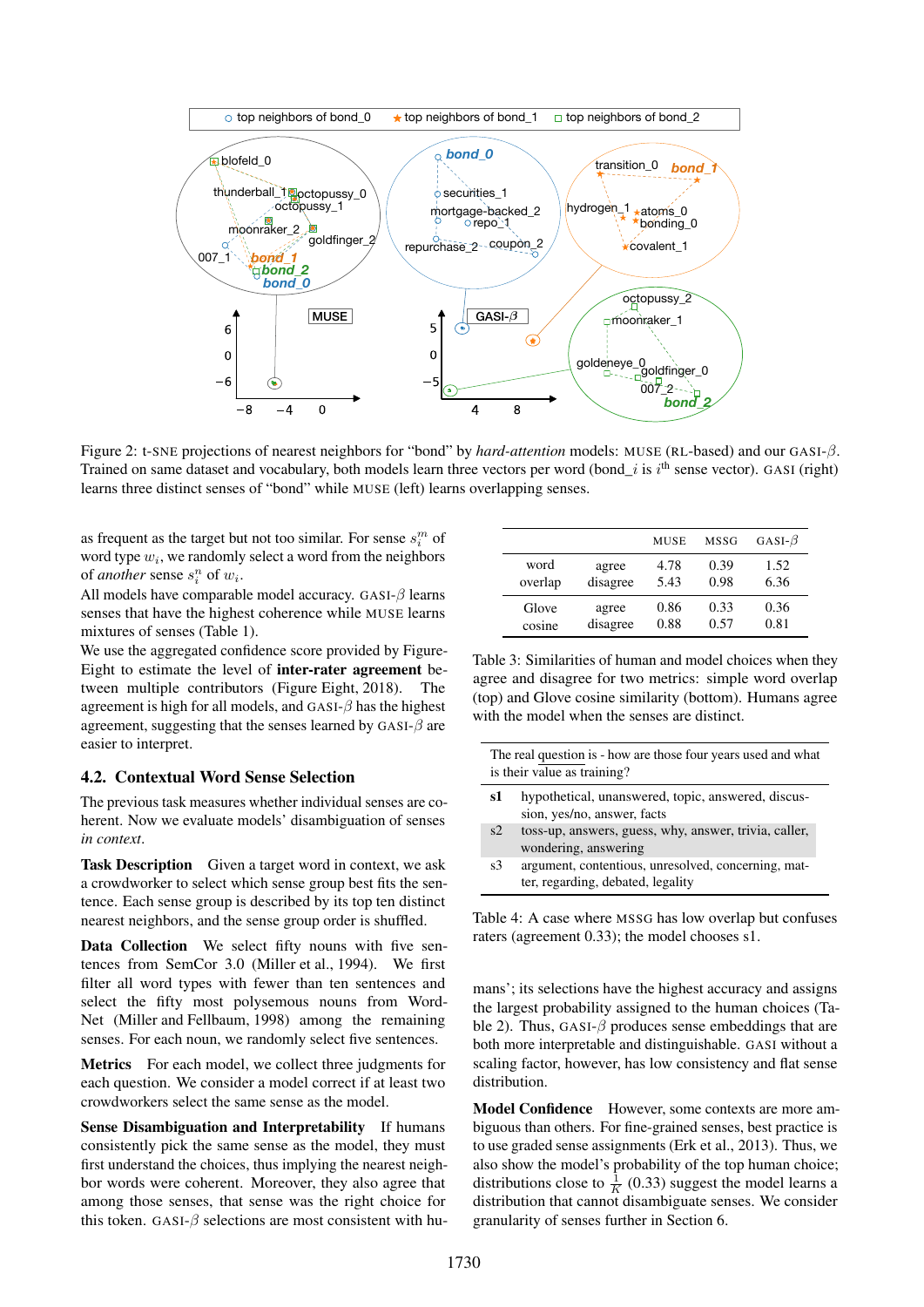

Figure 2: t-SNE projections of nearest neighbors for "bond" by *hard-attention* models: MUSE (RL-based) and our GASI-β. Trained on same dataset and vocabulary, both models learn three vectors per word (bond\_i is i<sup>th</sup> sense vector). GASI (right) learns three distinct senses of "bond" while MUSE (left) learns overlapping senses.

as frequent as the target but not too similar. For sense  $s_i^m$  of word type  $w_i$ , we randomly select a word from the neighbors of *another* sense  $s_i^n$  of  $w_i$ .

All models have comparable model accuracy. GASI- $\beta$  learns senses that have the highest coherence while MUSE learns mixtures of senses (Table 1).

We use the aggregated confidence score provided by Figure-Eight to estimate the level of inter-rater agreement between multiple contributors (Figure Eight, 2018). The agreement is high for all models, and  $GASI-\beta$  has the highest agreement, suggesting that the senses learned by  $GASI-\beta$  are easier to interpret.

#### 4.2. Contextual Word Sense Selection

The previous task measures whether individual senses are coherent. Now we evaluate models' disambiguation of senses *in context*.

Task Description Given a target word in context, we ask a crowdworker to select which sense group best fits the sentence. Each sense group is described by its top ten distinct nearest neighbors, and the sense group order is shuffled.

Data Collection We select fifty nouns with five sentences from SemCor 3.0 (Miller et al., 1994). We first filter all word types with fewer than ten sentences and select the fifty most polysemous nouns from Word-Net (Miller and Fellbaum, 1998) among the remaining senses. For each noun, we randomly select five sentences.

Metrics For each model, we collect three judgments for each question. We consider a model correct if at least two crowdworkers select the same sense as the model.

Sense Disambiguation and Interpretability If humans consistently pick the same sense as the model, they must first understand the choices, thus implying the nearest neighbor words were coherent. Moreover, they also agree that among those senses, that sense was the right choice for this token. GASI- $\beta$  selections are most consistent with hu-

|         |          | <b>MUSE</b> | <b>MSSG</b> | GASI- $\beta$ |
|---------|----------|-------------|-------------|---------------|
| word    | agree    | 4.78        | 0.39        | 1.52          |
| overlap | disagree | 5.43        | 0.98        | 6.36          |
| Glove   | agree    | 0.86        | 0.33        | 0.36          |
| cosine  | disagree | 0.88        | 0.57        | 0.81          |

Table 3: Similarities of human and model choices when they agree and disagree for two metrics: simple word overlap (top) and Glove cosine similarity (bottom). Humans agree with the model when the senses are distinct.

| The real question is - how are those four years used and what<br>is their value as training? |                                                                                   |  |
|----------------------------------------------------------------------------------------------|-----------------------------------------------------------------------------------|--|
| s1                                                                                           | hypothetical, unanswered, topic, answered, discus-<br>sion, yes/no, answer, facts |  |
| s2                                                                                           | toss-up, answers, guess, why, answer, trivia, caller,<br>wondering, answering     |  |
| s3                                                                                           | argument, contentious, unresolved, concerning, mat-                               |  |

Table 4: A case where MSSG has low overlap but confuses raters (agreement 0.33); the model chooses s1.

ter, regarding, debated, legality

mans'; its selections have the highest accuracy and assigns the largest probability assigned to the human choices (Table 2). Thus, GASI- $\beta$  produces sense embeddings that are both more interpretable and distinguishable. GASI without a scaling factor, however, has low consistency and flat sense distribution.

Model Confidence However, some contexts are more ambiguous than others. For fine-grained senses, best practice is to use graded sense assignments (Erk et al., 2013). Thus, we also show the model's probability of the top human choice; distributions close to  $\frac{1}{K}$  (0.33) suggest the model learns a distribution that cannot disambiguate senses. We consider granularity of senses further in Section 6.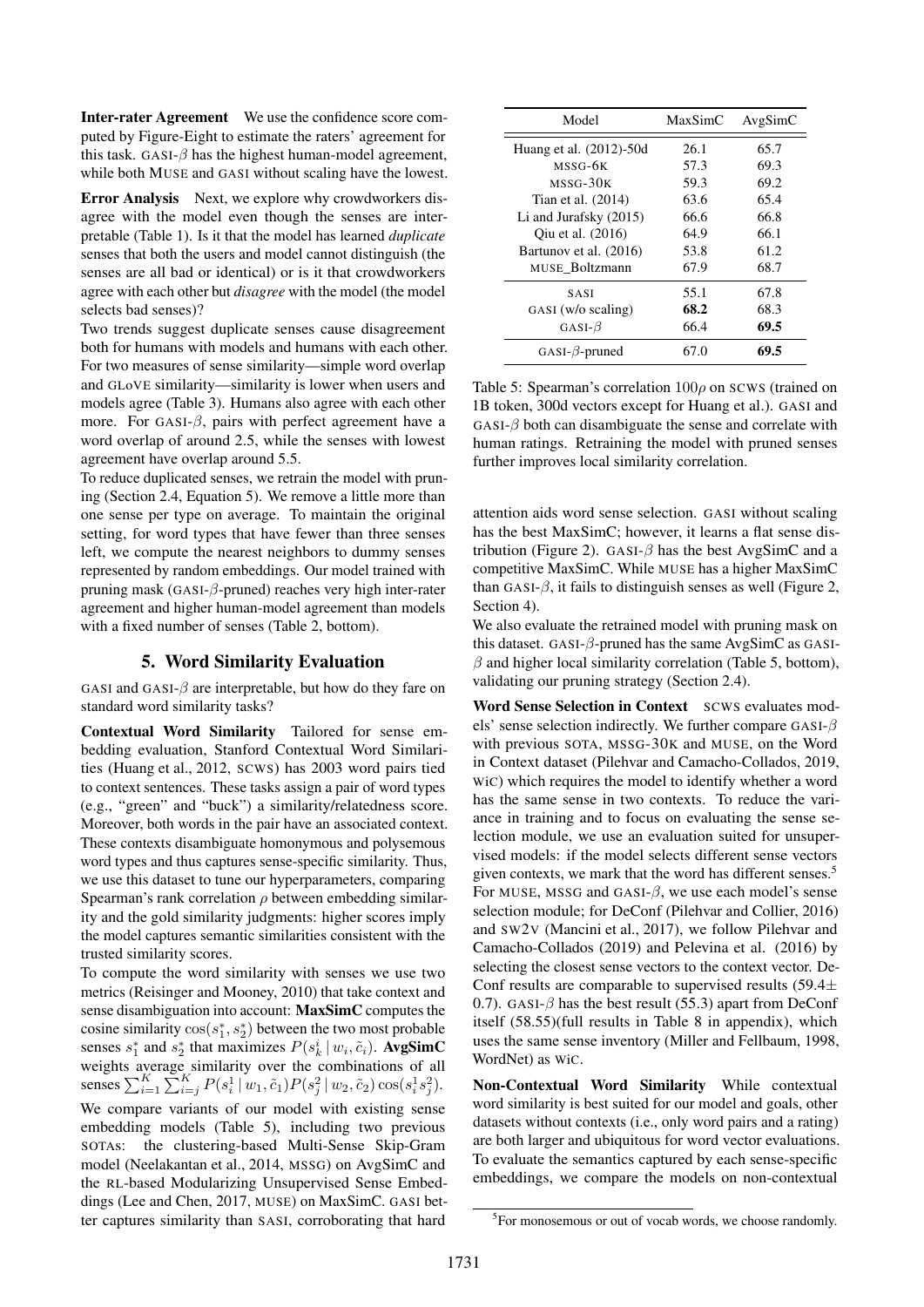Inter-rater Agreement We use the confidence score computed by Figure-Eight to estimate the raters' agreement for this task. GASI- $\beta$  has the highest human-model agreement, while both MUSE and GASI without scaling have the lowest.

Error Analysis Next, we explore why crowdworkers disagree with the model even though the senses are interpretable (Table 1). Is it that the model has learned *duplicate* senses that both the users and model cannot distinguish (the senses are all bad or identical) or is it that crowdworkers agree with each other but *disagree* with the model (the model selects bad senses)?

Two trends suggest duplicate senses cause disagreement both for humans with models and humans with each other. For two measures of sense similarity—simple word overlap and GLoVE similarity—similarity is lower when users and models agree (Table 3). Humans also agree with each other more. For GASI- $\beta$ , pairs with perfect agreement have a word overlap of around 2.5, while the senses with lowest agreement have overlap around 5.5.

To reduce duplicated senses, we retrain the model with pruning (Section 2.4, Equation 5). We remove a little more than one sense per type on average. To maintain the original setting, for word types that have fewer than three senses left, we compute the nearest neighbors to dummy senses represented by random embeddings. Our model trained with pruning mask (GASI-β-pruned) reaches very high inter-rater agreement and higher human-model agreement than models with a fixed number of senses (Table 2, bottom).

# 5. Word Similarity Evaluation

GASI and GASI- $\beta$  are interpretable, but how do they fare on standard word similarity tasks?

Contextual Word Similarity Tailored for sense embedding evaluation, Stanford Contextual Word Similarities (Huang et al., 2012, SCWS) has 2003 word pairs tied to context sentences. These tasks assign a pair of word types (e.g., "green" and "buck") a similarity/relatedness score. Moreover, both words in the pair have an associated context. These contexts disambiguate homonymous and polysemous word types and thus captures sense-specific similarity. Thus, we use this dataset to tune our hyperparameters, comparing Spearman's rank correlation  $\rho$  between embedding similarity and the gold similarity judgments: higher scores imply the model captures semantic similarities consistent with the trusted similarity scores.

To compute the word similarity with senses we use two metrics (Reisinger and Mooney, 2010) that take context and sense disambiguation into account: MaxSimC computes the cosine similarity  $cos(s_1^*, s_2^*)$  between the two most probable senses  $s_1^*$  and  $s_2^*$  that maximizes  $P(s_k^i | w_i, \tilde{c}_i)$ . **AvgSimC** weights average similarity over the combinations of all senses  $\sum_{i=1}^{K} \sum_{i=j}^{K} P(s_i^1 | w_1, \tilde{c}_1) P(s_j^2 | w_2, \tilde{c}_2) \cos(s_i^1 s_j^2)$ .

We compare variants of our model with existing sense embedding models (Table 5), including two previous SOTAs: the clustering-based Multi-Sense Skip-Gram model (Neelakantan et al., 2014, MSSG) on AvgSimC and the RL-based Modularizing Unsupervised Sense Embeddings (Lee and Chen, 2017, MUSE) on MaxSimC. GASI better captures similarity than SASI, corroborating that hard

| Model                   | MaxSimC | AvgSimC |
|-------------------------|---------|---------|
| Huang et al. (2012)-50d | 26.1    | 65.7    |
| MSSG-6K                 | 57.3    | 69.3    |
| MSSG-30K                | 59.3    | 69.2    |
| Tian et al. (2014)      | 63.6    | 65.4    |
| Li and Jurafsky (2015)  | 66.6    | 66.8    |
| Oiu et al. (2016)       | 64.9    | 66.1    |
| Bartunov et al. (2016)  | 53.8    | 61.2    |
| MUSE Boltzmann          | 67.9    | 68.7    |
| <b>SASI</b>             | 55.1    | 67.8    |
| GASI (w/o scaling)      | 68.2    | 68.3    |
| GASI- $\beta$           | 66.4    | 69.5    |
| GASI- $\beta$ -pruned   | 67.0    | 69.5    |

Table 5: Spearman's correlation  $100\rho$  on SCWS (trained on 1B token, 300d vectors except for Huang et al.). GASI and  $GASI-\beta$  both can disambiguate the sense and correlate with human ratings. Retraining the model with pruned senses further improves local similarity correlation.

attention aids word sense selection. GASI without scaling has the best MaxSimC; however, it learns a flat sense distribution (Figure 2). GASI- $\beta$  has the best AvgSimC and a competitive MaxSimC. While MUSE has a higher MaxSimC than GASI- $\beta$ , it fails to distinguish senses as well (Figure 2, Section 4).

We also evaluate the retrained model with pruning mask on this dataset. GASI- $\beta$ -pruned has the same AvgSimC as GASI- $\beta$  and higher local similarity correlation (Table 5, bottom), validating our pruning strategy (Section 2.4).

Word Sense Selection in Context SCWS evaluates models' sense selection indirectly. We further compare GASI- $\beta$ with previous SOTA, MSSG-30K and MUSE, on the Word in Context dataset (Pilehvar and Camacho-Collados, 2019, WiC) which requires the model to identify whether a word has the same sense in two contexts. To reduce the variance in training and to focus on evaluating the sense selection module, we use an evaluation suited for unsupervised models: if the model selects different sense vectors given contexts, we mark that the word has different senses.<sup>5</sup> For MUSE, MSSG and GASI- $\beta$ , we use each model's sense selection module; for DeConf (Pilehvar and Collier, 2016) and SW2V (Mancini et al., 2017), we follow Pilehvar and Camacho-Collados (2019) and Pelevina et al. (2016) by selecting the closest sense vectors to the context vector. De-Conf results are comparable to supervised results  $(59.4\pm)$ 0.7). GASI- $\beta$  has the best result (55.3) apart from DeConf itself (58.55)(full results in Table 8 in appendix), which uses the same sense inventory (Miller and Fellbaum, 1998, WordNet) as WiC.

Non-Contextual Word Similarity While contextual word similarity is best suited for our model and goals, other datasets without contexts (i.e., only word pairs and a rating) are both larger and ubiquitous for word vector evaluations. To evaluate the semantics captured by each sense-specific embeddings, we compare the models on non-contextual

<sup>&</sup>lt;sup>5</sup>For monosemous or out of vocab words, we choose randomly.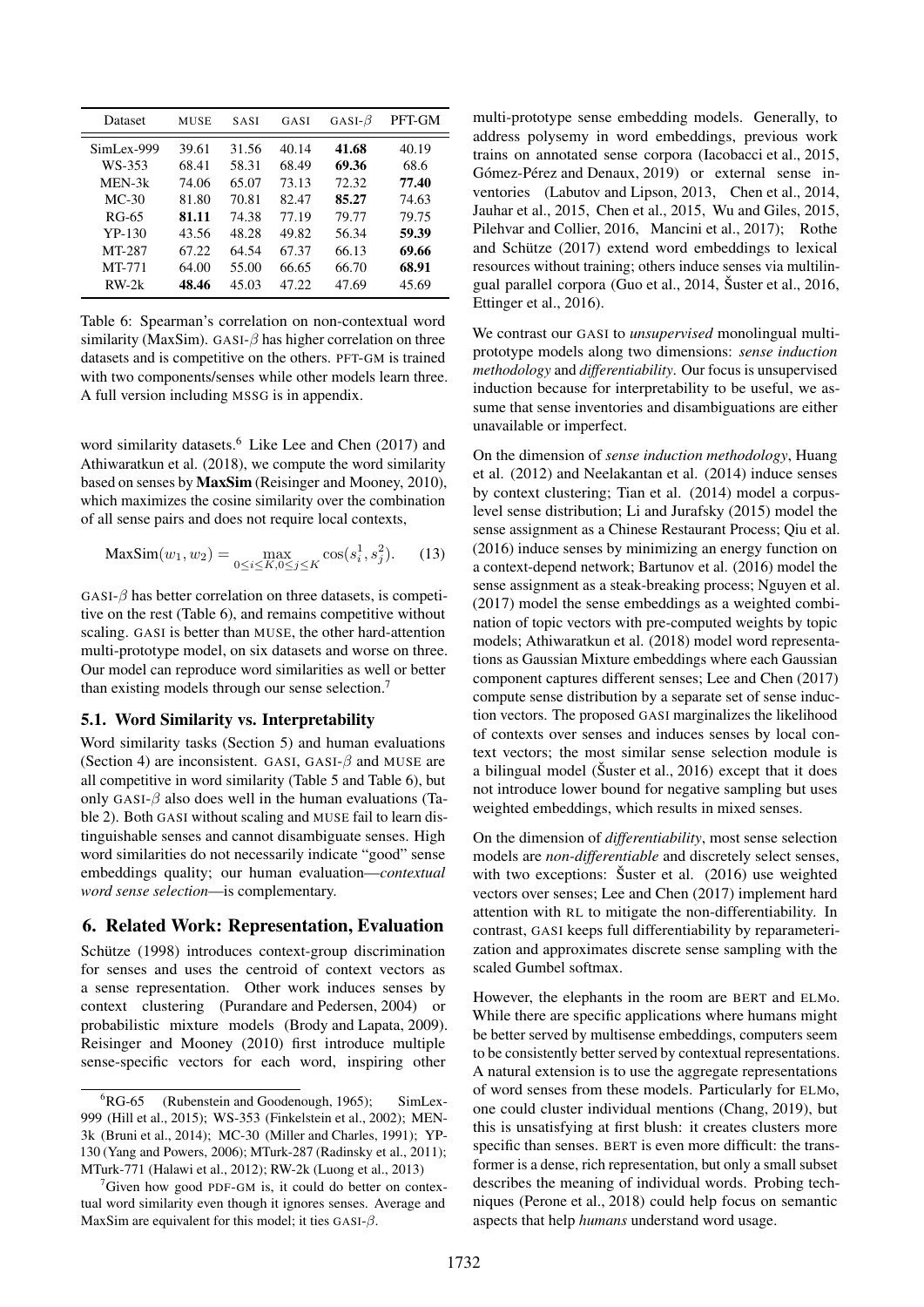| Dataset    | <b>MUSE</b> | <b>SASI</b> | GASI  | GASI- $\beta$ | PFT-GM |
|------------|-------------|-------------|-------|---------------|--------|
| SimLex-999 | 39.61       | 31.56       | 40.14 | 41.68         | 40.19  |
| WS-353     | 68.41       | 58.31       | 68.49 | 69.36         | 68.6   |
| MEN-3k     | 74.06       | 65.07       | 73.13 | 72.32         | 77.40  |
| $MC-30$    | 81.80       | 70.81       | 82.47 | 85.27         | 74.63  |
| RG-65      | 81.11       | 74.38       | 77.19 | 79.77         | 79.75  |
| $YP-130$   | 43.56       | 48.28       | 49.82 | 56.34         | 59.39  |
| MT-287     | 67.22       | 64.54       | 67.37 | 66.13         | 69.66  |
| MT-771     | 64.00       | 55.00       | 66.65 | 66.70         | 68.91  |
| $RW-2k$    | 48.46       | 45.03       | 47.22 | 47.69         | 45.69  |

Table 6: Spearman's correlation on non-contextual word similarity (MaxSim). GASI- $\beta$  has higher correlation on three datasets and is competitive on the others. PFT-GM is trained with two components/senses while other models learn three. A full version including MSSG is in appendix.

word similarity datasets.<sup>6</sup> Like Lee and Chen (2017) and Athiwaratkun et al. (2018), we compute the word similarity based on senses by MaxSim (Reisinger and Mooney, 2010), which maximizes the cosine similarity over the combination of all sense pairs and does not require local contexts,

$$
\text{MaxSim}(w_1, w_2) = \max_{0 \le i \le K, 0 \le j \le K} \cos(s_i^1, s_j^2). \tag{13}
$$

 $GASI-\beta$  has better correlation on three datasets, is competitive on the rest (Table 6), and remains competitive without scaling. GASI is better than MUSE, the other hard-attention multi-prototype model, on six datasets and worse on three. Our model can reproduce word similarities as well or better than existing models through our sense selection.<sup>7</sup>

## 5.1. Word Similarity vs. Interpretability

Word similarity tasks (Section 5) and human evaluations (Section 4) are inconsistent. GASI, GASI- $\beta$  and MUSE are all competitive in word similarity (Table 5 and Table 6), but only GASI- $\beta$  also does well in the human evaluations (Table 2). Both GASI without scaling and MUSE fail to learn distinguishable senses and cannot disambiguate senses. High word similarities do not necessarily indicate "good" sense embeddings quality; our human evaluation—*contextual word sense selection*—is complementary.

# 6. Related Work: Representation, Evaluation

Schütze (1998) introduces context-group discrimination for senses and uses the centroid of context vectors as a sense representation. Other work induces senses by context clustering (Purandare and Pedersen, 2004) or probabilistic mixture models (Brody and Lapata, 2009). Reisinger and Mooney (2010) first introduce multiple sense-specific vectors for each word, inspiring other

multi-prototype sense embedding models. Generally, to address polysemy in word embeddings, previous work trains on annotated sense corpora (Iacobacci et al., 2015, Gómez-Pérez and Denaux, 2019) or external sense inventories (Labutov and Lipson, 2013, Chen et al., 2014, Jauhar et al., 2015, Chen et al., 2015, Wu and Giles, 2015, Pilehvar and Collier, 2016, Mancini et al., 2017); Rothe and Schütze (2017) extend word embeddings to lexical resources without training; others induce senses via multilingual parallel corpora (Guo et al., 2014, Šuster et al., 2016, Ettinger et al., 2016).

We contrast our GASI to *unsupervised* monolingual multiprototype models along two dimensions: *sense induction methodology* and *differentiability*. Our focus is unsupervised induction because for interpretability to be useful, we assume that sense inventories and disambiguations are either unavailable or imperfect.

On the dimension of *sense induction methodology*, Huang et al. (2012) and Neelakantan et al. (2014) induce senses by context clustering; Tian et al. (2014) model a corpuslevel sense distribution; Li and Jurafsky (2015) model the sense assignment as a Chinese Restaurant Process; Qiu et al. (2016) induce senses by minimizing an energy function on a context-depend network; Bartunov et al. (2016) model the sense assignment as a steak-breaking process; Nguyen et al. (2017) model the sense embeddings as a weighted combination of topic vectors with pre-computed weights by topic models; Athiwaratkun et al. (2018) model word representations as Gaussian Mixture embeddings where each Gaussian component captures different senses; Lee and Chen (2017) compute sense distribution by a separate set of sense induction vectors. The proposed GASI marginalizes the likelihood of contexts over senses and induces senses by local context vectors; the most similar sense selection module is a bilingual model (Šuster et al., 2016) except that it does not introduce lower bound for negative sampling but uses weighted embeddings, which results in mixed senses.

On the dimension of *differentiability*, most sense selection models are *non-differentiable* and discretely select senses, with two exceptions: Šuster et al. (2016) use weighted vectors over senses; Lee and Chen (2017) implement hard attention with RL to mitigate the non-differentiability. In contrast, GASI keeps full differentiability by reparameterization and approximates discrete sense sampling with the scaled Gumbel softmax.

However, the elephants in the room are BERT and ELMo. While there are specific applications where humans might be better served by multisense embeddings, computers seem to be consistently better served by contextual representations. A natural extension is to use the aggregate representations of word senses from these models. Particularly for ELMo, one could cluster individual mentions (Chang, 2019), but this is unsatisfying at first blush: it creates clusters more specific than senses. BERT is even more difficult: the transformer is a dense, rich representation, but only a small subset describes the meaning of individual words. Probing techniques (Perone et al., 2018) could help focus on semantic aspects that help *humans* understand word usage.

 ${}^{6}RG-65$  (Rubenstein and Goodenough, 1965); SimLex-999 (Hill et al., 2015); WS-353 (Finkelstein et al., 2002); MEN-3k (Bruni et al., 2014); MC-30 (Miller and Charles, 1991); YP-130 (Yang and Powers, 2006); MTurk-287 (Radinsky et al., 2011); MTurk-771 (Halawi et al., 2012); RW-2k (Luong et al., 2013)

 $\sigma$ Given how good PDF-GM is, it could do better on contextual word similarity even though it ignores senses. Average and MaxSim are equivalent for this model; it ties  $GASI-\beta$ .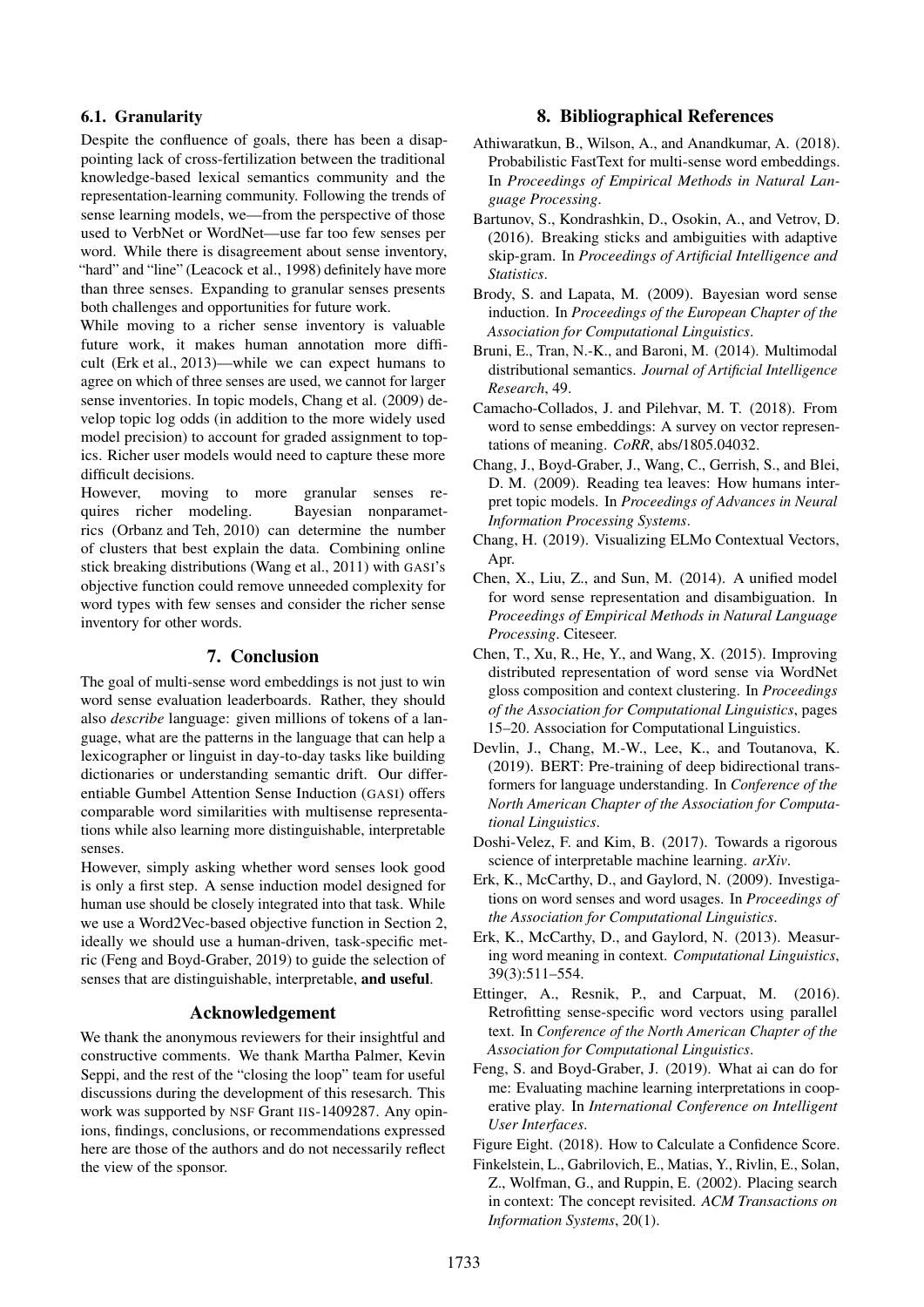# 6.1. Granularity

Despite the confluence of goals, there has been a disappointing lack of cross-fertilization between the traditional knowledge-based lexical semantics community and the representation-learning community. Following the trends of sense learning models, we—from the perspective of those used to VerbNet or WordNet—use far too few senses per word. While there is disagreement about sense inventory, "hard" and "line" (Leacock et al., 1998) definitely have more than three senses. Expanding to granular senses presents both challenges and opportunities for future work.

While moving to a richer sense inventory is valuable future work, it makes human annotation more difficult (Erk et al., 2013)—while we can expect humans to agree on which of three senses are used, we cannot for larger sense inventories. In topic models, Chang et al. (2009) develop topic log odds (in addition to the more widely used model precision) to account for graded assignment to topics. Richer user models would need to capture these more difficult decisions.

However, moving to more granular senses requires richer modeling. Bayesian nonparametrics (Orbanz and Teh, 2010) can determine the number of clusters that best explain the data. Combining online stick breaking distributions (Wang et al., 2011) with GASI's objective function could remove unneeded complexity for word types with few senses and consider the richer sense inventory for other words.

## 7. Conclusion

The goal of multi-sense word embeddings is not just to win word sense evaluation leaderboards. Rather, they should also *describe* language: given millions of tokens of a language, what are the patterns in the language that can help a lexicographer or linguist in day-to-day tasks like building dictionaries or understanding semantic drift. Our differentiable Gumbel Attention Sense Induction (GASI) offers comparable word similarities with multisense representations while also learning more distinguishable, interpretable senses.

However, simply asking whether word senses look good is only a first step. A sense induction model designed for human use should be closely integrated into that task. While we use a Word2Vec-based objective function in Section 2, ideally we should use a human-driven, task-specific metric (Feng and Boyd-Graber, 2019) to guide the selection of senses that are distinguishable, interpretable, and useful.

## Acknowledgement

We thank the anonymous reviewers for their insightful and constructive comments. We thank Martha Palmer, Kevin Seppi, and the rest of the "closing the loop" team for useful discussions during the development of this resesarch. This work was supported by NSF Grant IIS-1409287. Any opinions, findings, conclusions, or recommendations expressed here are those of the authors and do not necessarily reflect the view of the sponsor.

## 8. Bibliographical References

- Athiwaratkun, B., Wilson, A., and Anandkumar, A. (2018). Probabilistic FastText for multi-sense word embeddings. In *Proceedings of Empirical Methods in Natural Language Processing*.
- Bartunov, S., Kondrashkin, D., Osokin, A., and Vetrov, D. (2016). Breaking sticks and ambiguities with adaptive skip-gram. In *Proceedings of Artificial Intelligence and Statistics*.
- Brody, S. and Lapata, M. (2009). Bayesian word sense induction. In *Proceedings of the European Chapter of the Association for Computational Linguistics*.
- Bruni, E., Tran, N.-K., and Baroni, M. (2014). Multimodal distributional semantics. *Journal of Artificial Intelligence Research*, 49.
- Camacho-Collados, J. and Pilehvar, M. T. (2018). From word to sense embeddings: A survey on vector representations of meaning. *CoRR*, abs/1805.04032.
- Chang, J., Boyd-Graber, J., Wang, C., Gerrish, S., and Blei, D. M. (2009). Reading tea leaves: How humans interpret topic models. In *Proceedings of Advances in Neural Information Processing Systems*.
- Chang, H. (2019). Visualizing ELMo Contextual Vectors, Apr.
- Chen, X., Liu, Z., and Sun, M. (2014). A unified model for word sense representation and disambiguation. In *Proceedings of Empirical Methods in Natural Language Processing*. Citeseer.
- Chen, T., Xu, R., He, Y., and Wang, X. (2015). Improving distributed representation of word sense via WordNet gloss composition and context clustering. In *Proceedings of the Association for Computational Linguistics*, pages 15–20. Association for Computational Linguistics.
- Devlin, J., Chang, M.-W., Lee, K., and Toutanova, K. (2019). BERT: Pre-training of deep bidirectional transformers for language understanding. In *Conference of the North American Chapter of the Association for Computational Linguistics*.
- Doshi-Velez, F. and Kim, B. (2017). Towards a rigorous science of interpretable machine learning. *arXiv*.
- Erk, K., McCarthy, D., and Gaylord, N. (2009). Investigations on word senses and word usages. In *Proceedings of the Association for Computational Linguistics*.
- Erk, K., McCarthy, D., and Gaylord, N. (2013). Measuring word meaning in context. *Computational Linguistics*, 39(3):511–554.
- Ettinger, A., Resnik, P., and Carpuat, M. (2016). Retrofitting sense-specific word vectors using parallel text. In *Conference of the North American Chapter of the Association for Computational Linguistics*.
- Feng, S. and Boyd-Graber, J. (2019). What ai can do for me: Evaluating machine learning interpretations in cooperative play. In *International Conference on Intelligent User Interfaces*.
- Figure Eight. (2018). How to Calculate a Confidence Score.
- Finkelstein, L., Gabrilovich, E., Matias, Y., Rivlin, E., Solan, Z., Wolfman, G., and Ruppin, E. (2002). Placing search in context: The concept revisited. *ACM Transactions on Information Systems*, 20(1).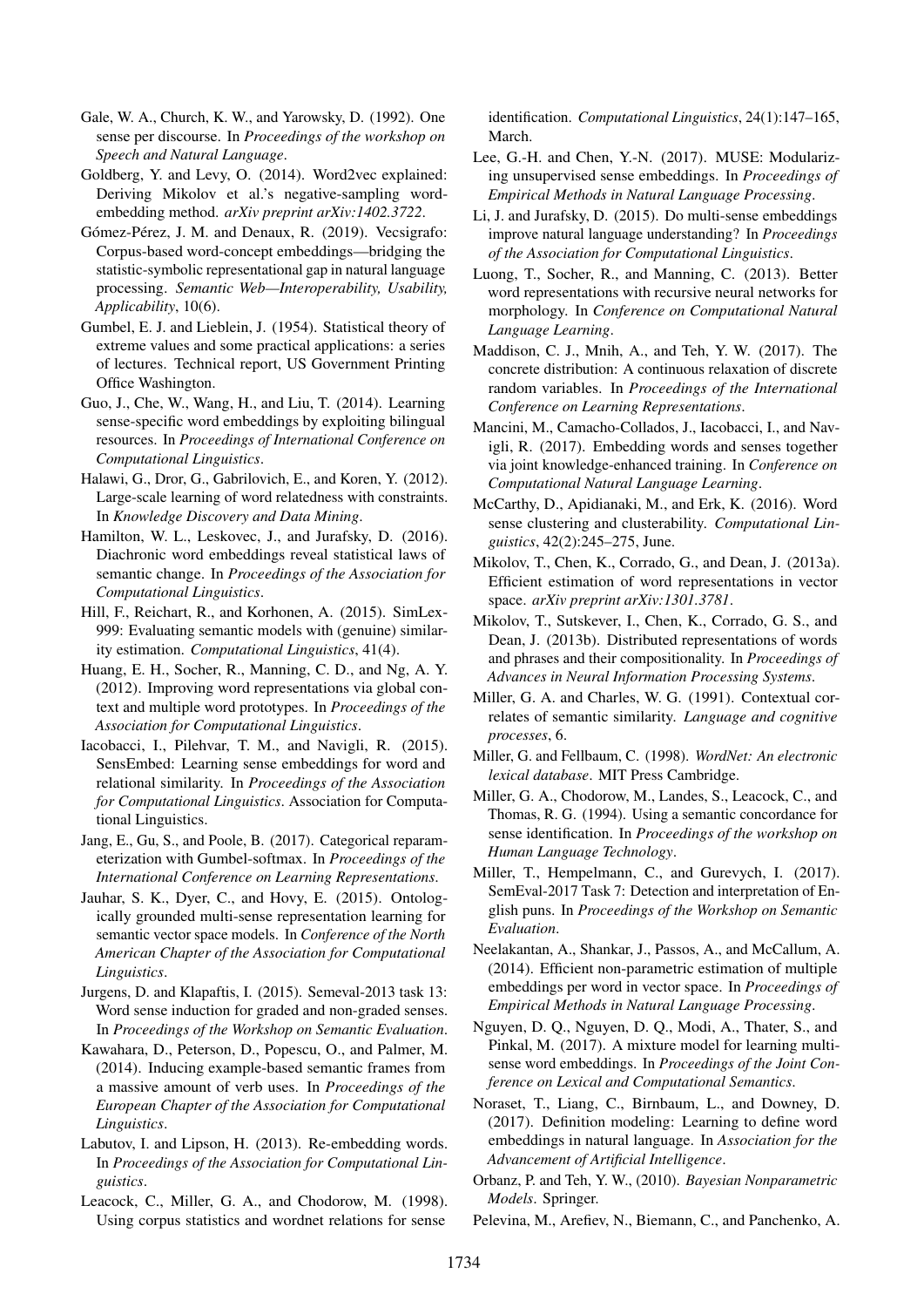- Gale, W. A., Church, K. W., and Yarowsky, D. (1992). One sense per discourse. In *Proceedings of the workshop on Speech and Natural Language*.
- Goldberg, Y. and Levy, O. (2014). Word2vec explained: Deriving Mikolov et al.'s negative-sampling wordembedding method. *arXiv preprint arXiv:1402.3722*.
- Gómez-Pérez, J. M. and Denaux, R. (2019). Vecsigrafo: Corpus-based word-concept embeddings—bridging the statistic-symbolic representational gap in natural language processing. *Semantic Web—Interoperability, Usability, Applicability*, 10(6).
- Gumbel, E. J. and Lieblein, J. (1954). Statistical theory of extreme values and some practical applications: a series of lectures. Technical report, US Government Printing Office Washington.
- Guo, J., Che, W., Wang, H., and Liu, T. (2014). Learning sense-specific word embeddings by exploiting bilingual resources. In *Proceedings of International Conference on Computational Linguistics*.
- Halawi, G., Dror, G., Gabrilovich, E., and Koren, Y. (2012). Large-scale learning of word relatedness with constraints. In *Knowledge Discovery and Data Mining*.
- Hamilton, W. L., Leskovec, J., and Jurafsky, D. (2016). Diachronic word embeddings reveal statistical laws of semantic change. In *Proceedings of the Association for Computational Linguistics*.
- Hill, F., Reichart, R., and Korhonen, A. (2015). SimLex-999: Evaluating semantic models with (genuine) similarity estimation. *Computational Linguistics*, 41(4).
- Huang, E. H., Socher, R., Manning, C. D., and Ng, A. Y. (2012). Improving word representations via global context and multiple word prototypes. In *Proceedings of the Association for Computational Linguistics*.
- Iacobacci, I., Pilehvar, T. M., and Navigli, R. (2015). SensEmbed: Learning sense embeddings for word and relational similarity. In *Proceedings of the Association for Computational Linguistics*. Association for Computational Linguistics.
- Jang, E., Gu, S., and Poole, B. (2017). Categorical reparameterization with Gumbel-softmax. In *Proceedings of the International Conference on Learning Representations*.
- Jauhar, S. K., Dyer, C., and Hovy, E. (2015). Ontologically grounded multi-sense representation learning for semantic vector space models. In *Conference of the North American Chapter of the Association for Computational Linguistics*.
- Jurgens, D. and Klapaftis, I. (2015). Semeval-2013 task 13: Word sense induction for graded and non-graded senses. In *Proceedings of the Workshop on Semantic Evaluation*.
- Kawahara, D., Peterson, D., Popescu, O., and Palmer, M. (2014). Inducing example-based semantic frames from a massive amount of verb uses. In *Proceedings of the European Chapter of the Association for Computational Linguistics*.
- Labutov, I. and Lipson, H. (2013). Re-embedding words. In *Proceedings of the Association for Computational Linguistics*.
- Leacock, C., Miller, G. A., and Chodorow, M. (1998). Using corpus statistics and wordnet relations for sense

identification. *Computational Linguistics*, 24(1):147–165, March.

- Lee, G.-H. and Chen, Y.-N. (2017). MUSE: Modularizing unsupervised sense embeddings. In *Proceedings of Empirical Methods in Natural Language Processing*.
- Li, J. and Jurafsky, D. (2015). Do multi-sense embeddings improve natural language understanding? In *Proceedings of the Association for Computational Linguistics*.
- Luong, T., Socher, R., and Manning, C. (2013). Better word representations with recursive neural networks for morphology. In *Conference on Computational Natural Language Learning*.
- Maddison, C. J., Mnih, A., and Teh, Y. W. (2017). The concrete distribution: A continuous relaxation of discrete random variables. In *Proceedings of the International Conference on Learning Representations*.
- Mancini, M., Camacho-Collados, J., Iacobacci, I., and Navigli, R. (2017). Embedding words and senses together via joint knowledge-enhanced training. In *Conference on Computational Natural Language Learning*.
- McCarthy, D., Apidianaki, M., and Erk, K. (2016). Word sense clustering and clusterability. *Computational Linguistics*, 42(2):245–275, June.
- Mikolov, T., Chen, K., Corrado, G., and Dean, J. (2013a). Efficient estimation of word representations in vector space. *arXiv preprint arXiv:1301.3781*.
- Mikolov, T., Sutskever, I., Chen, K., Corrado, G. S., and Dean, J. (2013b). Distributed representations of words and phrases and their compositionality. In *Proceedings of Advances in Neural Information Processing Systems*.
- Miller, G. A. and Charles, W. G. (1991). Contextual correlates of semantic similarity. *Language and cognitive processes*, 6.
- Miller, G. and Fellbaum, C. (1998). *WordNet: An electronic lexical database*. MIT Press Cambridge.
- Miller, G. A., Chodorow, M., Landes, S., Leacock, C., and Thomas, R. G. (1994). Using a semantic concordance for sense identification. In *Proceedings of the workshop on Human Language Technology*.
- Miller, T., Hempelmann, C., and Gurevych, I. (2017). SemEval-2017 Task 7: Detection and interpretation of English puns. In *Proceedings of the Workshop on Semantic Evaluation*.
- Neelakantan, A., Shankar, J., Passos, A., and McCallum, A. (2014). Efficient non-parametric estimation of multiple embeddings per word in vector space. In *Proceedings of Empirical Methods in Natural Language Processing*.
- Nguyen, D. Q., Nguyen, D. Q., Modi, A., Thater, S., and Pinkal, M. (2017). A mixture model for learning multisense word embeddings. In *Proceedings of the Joint Conference on Lexical and Computational Semantics*.
- Noraset, T., Liang, C., Birnbaum, L., and Downey, D. (2017). Definition modeling: Learning to define word embeddings in natural language. In *Association for the Advancement of Artificial Intelligence*.
- Orbanz, P. and Teh, Y. W., (2010). *Bayesian Nonparametric Models*. Springer.
- Pelevina, M., Arefiev, N., Biemann, C., and Panchenko, A.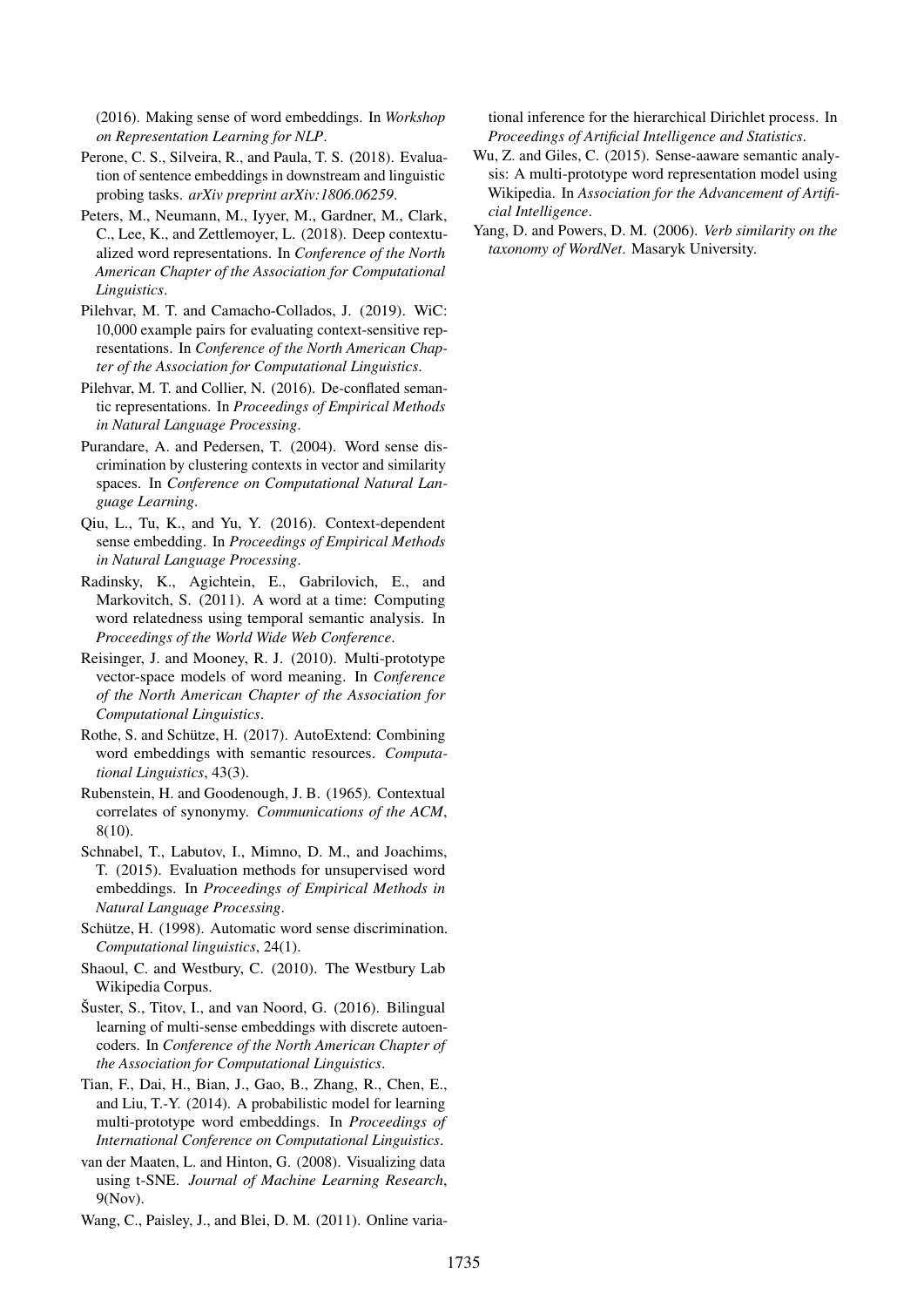(2016). Making sense of word embeddings. In *Workshop on Representation Learning for NLP*.

- Perone, C. S., Silveira, R., and Paula, T. S. (2018). Evaluation of sentence embeddings in downstream and linguistic probing tasks. *arXiv preprint arXiv:1806.06259*.
- Peters, M., Neumann, M., Iyyer, M., Gardner, M., Clark, C., Lee, K., and Zettlemoyer, L. (2018). Deep contextualized word representations. In *Conference of the North American Chapter of the Association for Computational Linguistics*.
- Pilehvar, M. T. and Camacho-Collados, J. (2019). WiC: 10,000 example pairs for evaluating context-sensitive representations. In *Conference of the North American Chapter of the Association for Computational Linguistics*.
- Pilehvar, M. T. and Collier, N. (2016). De-conflated semantic representations. In *Proceedings of Empirical Methods in Natural Language Processing*.
- Purandare, A. and Pedersen, T. (2004). Word sense discrimination by clustering contexts in vector and similarity spaces. In *Conference on Computational Natural Language Learning*.
- Qiu, L., Tu, K., and Yu, Y. (2016). Context-dependent sense embedding. In *Proceedings of Empirical Methods in Natural Language Processing*.
- Radinsky, K., Agichtein, E., Gabrilovich, E., and Markovitch, S. (2011). A word at a time: Computing word relatedness using temporal semantic analysis. In *Proceedings of the World Wide Web Conference*.
- Reisinger, J. and Mooney, R. J. (2010). Multi-prototype vector-space models of word meaning. In *Conference of the North American Chapter of the Association for Computational Linguistics*.
- Rothe, S. and Schütze, H. (2017). AutoExtend: Combining word embeddings with semantic resources. *Computational Linguistics*, 43(3).
- Rubenstein, H. and Goodenough, J. B. (1965). Contextual correlates of synonymy. *Communications of the ACM*, 8(10).
- Schnabel, T., Labutov, I., Mimno, D. M., and Joachims, T. (2015). Evaluation methods for unsupervised word embeddings. In *Proceedings of Empirical Methods in Natural Language Processing*.
- Schütze, H. (1998). Automatic word sense discrimination. *Computational linguistics*, 24(1).
- Shaoul, C. and Westbury, C. (2010). The Westbury Lab Wikipedia Corpus.
- Šuster, S., Titov, I., and van Noord, G. (2016). Bilingual learning of multi-sense embeddings with discrete autoencoders. In *Conference of the North American Chapter of the Association for Computational Linguistics*.
- Tian, F., Dai, H., Bian, J., Gao, B., Zhang, R., Chen, E., and Liu, T.-Y. (2014). A probabilistic model for learning multi-prototype word embeddings. In *Proceedings of International Conference on Computational Linguistics*.
- van der Maaten, L. and Hinton, G. (2008). Visualizing data using t-SNE. *Journal of Machine Learning Research*, 9(Nov).
- Wang, C., Paisley, J., and Blei, D. M. (2011). Online varia-

tional inference for the hierarchical Dirichlet process. In *Proceedings of Artificial Intelligence and Statistics*.

- Wu, Z. and Giles, C. (2015). Sense-aaware semantic analysis: A multi-prototype word representation model using Wikipedia. In *Association for the Advancement of Artificial Intelligence*.
- Yang, D. and Powers, D. M. (2006). *Verb similarity on the taxonomy of WordNet*. Masaryk University.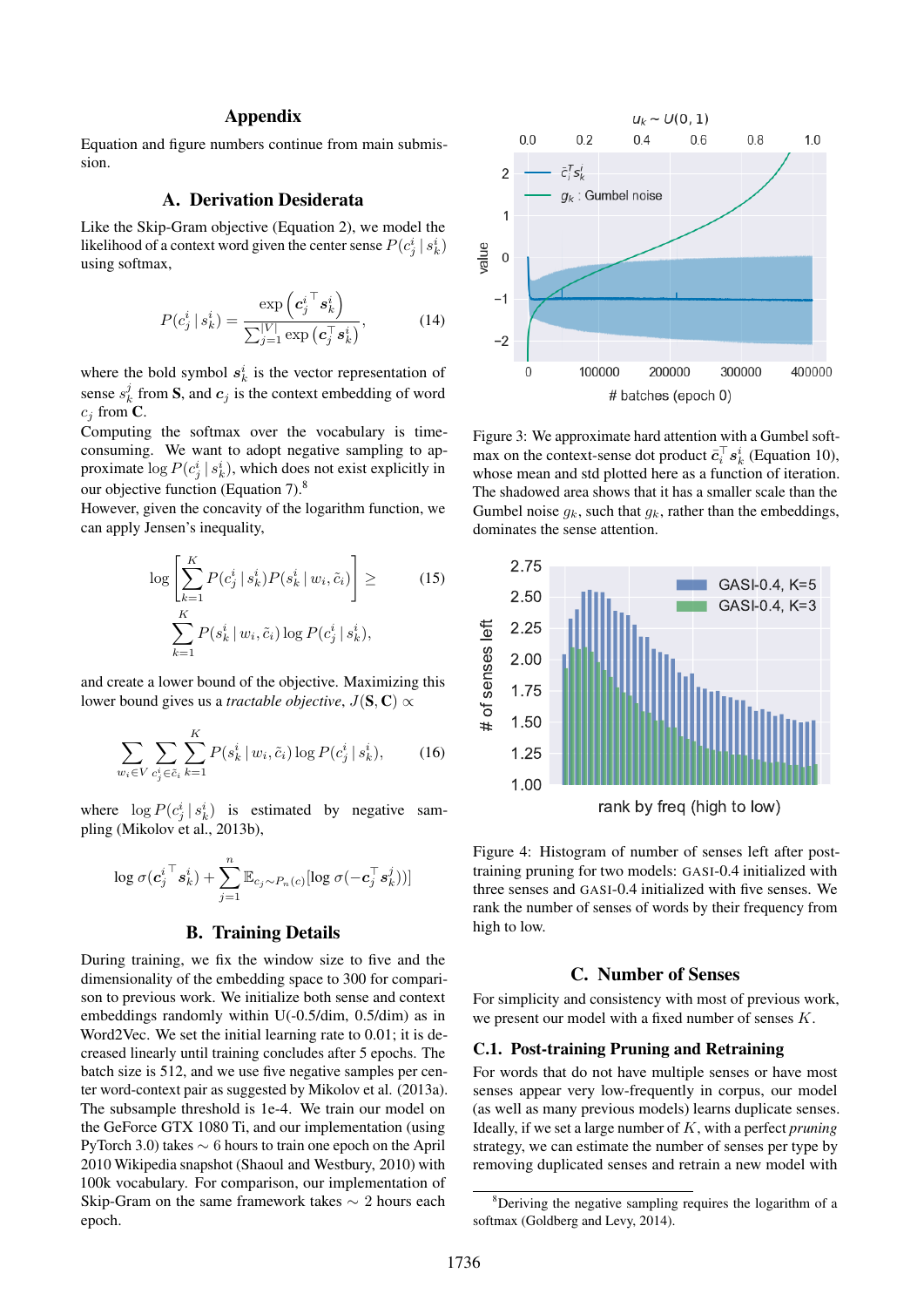### Appendix

Equation and figure numbers continue from main submission.

## A. Derivation Desiderata

Like the Skip-Gram objective (Equation 2), we model the likelihood of a context word given the center sense  $P(c_j^i | s_k^i)$ using softmax,

$$
P(c_j^i | s_k^i) = \frac{\exp\left(c_j^{i\top} s_k^i\right)}{\sum_{j=1}^{|V|} \exp\left(c_j^{\top} s_k^i\right)},\tag{14}
$$

where the bold symbol  $s_k^i$  is the vector representation of sense  $s_k^j$  from **S**, and  $c_j$  is the context embedding of word  $c_i$  from  $\mathbf C$ .

Computing the softmax over the vocabulary is timeconsuming. We want to adopt negative sampling to approximate  $\log P(c_j^i | s_k^i)$ , which does not exist explicitly in our objective function (Equation 7).<sup>8</sup>

However, given the concavity of the logarithm function, we can apply Jensen's inequality,

$$
\log \left[ \sum_{k=1}^{K} P(c_j^i \mid s_k^i) P(s_k^i \mid w_i, \tilde{c}_i) \right] \ge \q \qquad (15)
$$

$$
\sum_{k=1}^{K} P(s_k^i \mid w_i, \tilde{c}_i) \log P(c_j^i \mid s_k^i),
$$

and create a lower bound of the objective. Maximizing this lower bound gives us a *tractable objective*,  $J(\mathbf{S}, \mathbf{C}) \propto$ 

$$
\sum_{w_i \in V} \sum_{c_j^i \in \tilde{c}_i} \sum_{k=1}^K P(s_k^i \, | \, w_i, \tilde{c}_i) \log P(c_j^i \, | \, s_k^i), \tag{16}
$$

where  $\log P(c_j^i | s_k^i)$  is estimated by negative sampling (Mikolov et al., 2013b),

$$
\log \sigma({\bm{c}_j^i}^\top \bm{s}_k^i) + \sum_{j=1}^n \mathbb{E}_{c_j \sim P_n(c)}[\log \sigma(-\bm{c}_j^\top \bm{s}_k^j))]
$$

#### B. Training Details

During training, we fix the window size to five and the dimensionality of the embedding space to 300 for comparison to previous work. We initialize both sense and context embeddings randomly within U(-0.5/dim, 0.5/dim) as in Word2Vec. We set the initial learning rate to 0.01; it is decreased linearly until training concludes after 5 epochs. The batch size is 512, and we use five negative samples per center word-context pair as suggested by Mikolov et al. (2013a). The subsample threshold is 1e-4. We train our model on the GeForce GTX 1080 Ti, and our implementation (using PyTorch 3.0) takes ∼ 6 hours to train one epoch on the April 2010 Wikipedia snapshot (Shaoul and Westbury, 2010) with 100k vocabulary. For comparison, our implementation of Skip-Gram on the same framework takes  $\sim$  2 hours each epoch.



Figure 3: We approximate hard attention with a Gumbel softmax on the context-sense dot product  $\bar{c}_i^{\top} s_k^i$  (Equation 10), whose mean and std plotted here as a function of iteration. The shadowed area shows that it has a smaller scale than the Gumbel noise  $g_k$ , such that  $g_k$ , rather than the embeddings, dominates the sense attention.



Figure 4: Histogram of number of senses left after posttraining pruning for two models: GASI-0.4 initialized with three senses and GASI-0.4 initialized with five senses. We rank the number of senses of words by their frequency from high to low.

### C. Number of Senses

For simplicity and consistency with most of previous work, we present our model with a fixed number of senses K.

#### C.1. Post-training Pruning and Retraining

For words that do not have multiple senses or have most senses appear very low-frequently in corpus, our model (as well as many previous models) learns duplicate senses. Ideally, if we set a large number of K, with a perfect *pruning* strategy, we can estimate the number of senses per type by removing duplicated senses and retrain a new model with

<sup>&</sup>lt;sup>8</sup>Deriving the negative sampling requires the logarithm of a softmax (Goldberg and Levy, 2014).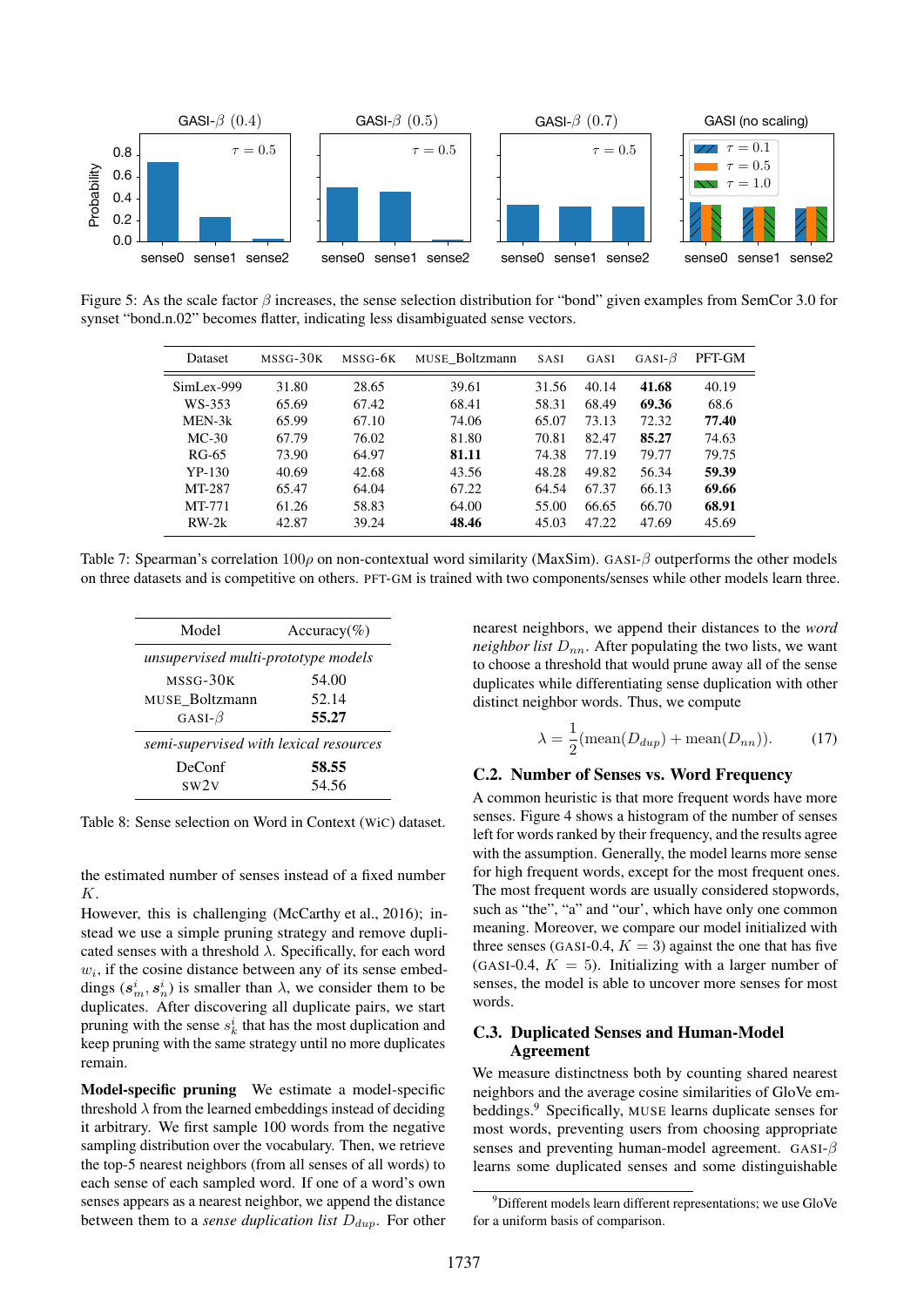

Figure 5: As the scale factor  $\beta$  increases, the sense selection distribution for "bond" given examples from SemCor 3.0 for synset "bond.n.02" becomes flatter, indicating less disambiguated sense vectors.

| $0.0\,$ |                                                                                                                                                                                                                                                                                                                                                                                                                                                                                                                                                                                                                                                                      |                |                      |                                    |                      |                |                |                                                                                                                                                                                                                                                                                                                                                                                                                                                                                                                                                                                                                                                        |
|---------|----------------------------------------------------------------------------------------------------------------------------------------------------------------------------------------------------------------------------------------------------------------------------------------------------------------------------------------------------------------------------------------------------------------------------------------------------------------------------------------------------------------------------------------------------------------------------------------------------------------------------------------------------------------------|----------------|----------------------|------------------------------------|----------------------|----------------|----------------|--------------------------------------------------------------------------------------------------------------------------------------------------------------------------------------------------------------------------------------------------------------------------------------------------------------------------------------------------------------------------------------------------------------------------------------------------------------------------------------------------------------------------------------------------------------------------------------------------------------------------------------------------------|
|         | sense0 sense1 sense2                                                                                                                                                                                                                                                                                                                                                                                                                                                                                                                                                                                                                                                 |                | sense0 sense1 sense2 |                                    | sense0 sense1 sense2 |                |                | sense0 ser                                                                                                                                                                                                                                                                                                                                                                                                                                                                                                                                                                                                                                             |
|         | e 5: As the scale factor $\beta$ increases, the sense selection distribution for "bond" given examples from Se<br>et "bond.n.02" becomes flatter, indicating less disambiguated sense vectors.                                                                                                                                                                                                                                                                                                                                                                                                                                                                       |                |                      |                                    |                      |                |                |                                                                                                                                                                                                                                                                                                                                                                                                                                                                                                                                                                                                                                                        |
|         | Dataset                                                                                                                                                                                                                                                                                                                                                                                                                                                                                                                                                                                                                                                              | MSSG-30K       | MSSG-6K              | MUSE_Boltzmann                     | SASI                 | GASI           | GASI- $\beta$  | PFT-GM                                                                                                                                                                                                                                                                                                                                                                                                                                                                                                                                                                                                                                                 |
|         | SimLex-999                                                                                                                                                                                                                                                                                                                                                                                                                                                                                                                                                                                                                                                           | 31.80          | 28.65                | 39.61                              | 31.56                | 40.14          | 41.68          | 40.19                                                                                                                                                                                                                                                                                                                                                                                                                                                                                                                                                                                                                                                  |
|         | WS-353                                                                                                                                                                                                                                                                                                                                                                                                                                                                                                                                                                                                                                                               | 65.69          | 67.42                | 68.41                              | 58.31                | 68.49          | 69.36          | 68.6                                                                                                                                                                                                                                                                                                                                                                                                                                                                                                                                                                                                                                                   |
|         | MEN-3k                                                                                                                                                                                                                                                                                                                                                                                                                                                                                                                                                                                                                                                               | 65.99          | 67.10                | 74.06                              | 65.07                | 73.13          | 72.32          | 77.40                                                                                                                                                                                                                                                                                                                                                                                                                                                                                                                                                                                                                                                  |
|         | $MC-30$                                                                                                                                                                                                                                                                                                                                                                                                                                                                                                                                                                                                                                                              | 67.79          | 76.02                | 81.80                              | 70.81                | 82.47          | 85.27          | 74.63                                                                                                                                                                                                                                                                                                                                                                                                                                                                                                                                                                                                                                                  |
|         | <b>RG-65</b>                                                                                                                                                                                                                                                                                                                                                                                                                                                                                                                                                                                                                                                         | 73.90          | 64.97                | 81.11                              | 74.38                | 77.19          | 79.77          | 79.75                                                                                                                                                                                                                                                                                                                                                                                                                                                                                                                                                                                                                                                  |
|         | $YP-130$                                                                                                                                                                                                                                                                                                                                                                                                                                                                                                                                                                                                                                                             | 40.69          | 42.68                | 43.56                              | 48.28                | 49.82          | 56.34          | 59.39                                                                                                                                                                                                                                                                                                                                                                                                                                                                                                                                                                                                                                                  |
|         | MT-287<br>MT-771                                                                                                                                                                                                                                                                                                                                                                                                                                                                                                                                                                                                                                                     | 65.47<br>61.26 | 64.04<br>58.83       | 67.22<br>64.00                     | 64.54<br>55.00       | 67.37<br>66.65 | 66.13<br>66.70 | 69.66<br>68.91                                                                                                                                                                                                                                                                                                                                                                                                                                                                                                                                                                                                                                         |
|         | $RW-2k$                                                                                                                                                                                                                                                                                                                                                                                                                                                                                                                                                                                                                                                              | 42.87          | 39.24                | 48.46                              | 45.03                | 47.22          | 47.69          | 45.69                                                                                                                                                                                                                                                                                                                                                                                                                                                                                                                                                                                                                                                  |
|         | ree datasets and is competitive on others. PFT-GM is trained with two components/senses while other mode<br>Model                                                                                                                                                                                                                                                                                                                                                                                                                                                                                                                                                    | Accuracy(%)    |                      |                                    |                      |                |                | nearest neighbors, we append their distances                                                                                                                                                                                                                                                                                                                                                                                                                                                                                                                                                                                                           |
|         |                                                                                                                                                                                                                                                                                                                                                                                                                                                                                                                                                                                                                                                                      |                |                      |                                    |                      |                |                | <i>neighbor list</i> $D_{nn}$ . After populating the two 1                                                                                                                                                                                                                                                                                                                                                                                                                                                                                                                                                                                             |
|         | unsupervised multi-prototype models                                                                                                                                                                                                                                                                                                                                                                                                                                                                                                                                                                                                                                  |                |                      |                                    |                      |                |                | to choose a threshold that would prune away al                                                                                                                                                                                                                                                                                                                                                                                                                                                                                                                                                                                                         |
|         | MSSG-30K                                                                                                                                                                                                                                                                                                                                                                                                                                                                                                                                                                                                                                                             | 54.00          |                      |                                    |                      |                |                | duplicates while differentiating sense duplicati                                                                                                                                                                                                                                                                                                                                                                                                                                                                                                                                                                                                       |
|         | MUSE_Boltzmann                                                                                                                                                                                                                                                                                                                                                                                                                                                                                                                                                                                                                                                       | 52.14          |                      |                                    |                      |                |                | distinct neighbor words. Thus, we compute                                                                                                                                                                                                                                                                                                                                                                                                                                                                                                                                                                                                              |
|         | GASI- $\beta$                                                                                                                                                                                                                                                                                                                                                                                                                                                                                                                                                                                                                                                        | 55.27          |                      |                                    |                      |                |                |                                                                                                                                                                                                                                                                                                                                                                                                                                                                                                                                                                                                                                                        |
|         | semi-supervised with lexical resources                                                                                                                                                                                                                                                                                                                                                                                                                                                                                                                                                                                                                               |                |                      |                                    |                      |                |                | $\lambda = \frac{1}{2}(\text{mean}(D_{dup}) + \text{mean}(D_{nn}))$                                                                                                                                                                                                                                                                                                                                                                                                                                                                                                                                                                                    |
|         | DeConf                                                                                                                                                                                                                                                                                                                                                                                                                                                                                                                                                                                                                                                               | 58.55          |                      |                                    |                      |                |                | C.2. Number of Senses vs. Word Frequ                                                                                                                                                                                                                                                                                                                                                                                                                                                                                                                                                                                                                   |
|         | sw <sub>2v</sub>                                                                                                                                                                                                                                                                                                                                                                                                                                                                                                                                                                                                                                                     | 54.56          |                      |                                    |                      |                |                | A common heuristic is that more frequent wor                                                                                                                                                                                                                                                                                                                                                                                                                                                                                                                                                                                                           |
| in.     | 8: Sense selection on Word in Context (WiC) dataset.<br>stimated number of senses instead of a fixed number<br>ever, this is challenging (McCarthy et al., 2016); in-<br>we use a simple pruning strategy and remove dupli-<br>senses with a threshold $\lambda$ . Specifically, for each word<br>the cosine distance between any of its sense embed-<br>$(s_m^i, s_n^i)$ is smaller than $\lambda$ , we consider them to be<br>cates. After discovering all duplicate pairs, we start<br>ng with the sense $s_k^i$ that has the most duplication and<br>pruning with the same strategy until no more duplicates<br>el-specific pruning We estimate a model-specific |                |                      | words.                             | <b>Agreement</b>     |                |                | senses. Figure 4 shows a histogram of the num<br>left for words ranked by their frequency, and the<br>with the assumption. Generally, the model learn<br>for high frequent words, except for the most f<br>The most frequent words are usually consider<br>such as "the", "a" and "our', which have only<br>meaning. Moreover, we compare our model in<br>three senses (GASI-0.4, $K = 3$ ) against the one<br>(GASI-0.4, $K = 5$ ). Initializing with a large<br>senses, the model is able to uncover more sen<br>C.3. Duplicated Senses and Human-Mo<br>We measure distinctness both by counting sl<br>neighbors and the average cosine similarities |
|         | hold $\lambda$ from the learned embeddings instead of deciding<br>itrary. We first sample 100 words from the negative<br>ling distribution over the vocabulary. Then, we retrieve<br>pp-5 nearest neighbors (from all senses of all words) to<br>sense of each sampled word. If one of a word's own<br>s appears as a nearest neighbor, we append the distance<br>een them to a <i>sense duplication list</i> $D_{dup}$ . For other                                                                                                                                                                                                                                  |                |                      | for a uniform basis of comparison. |                      |                |                | beddings. <sup>9</sup> Specifically, MUSE learns duplically<br>most words, preventing users from choosing<br>senses and preventing human-model agreem<br>learns some duplicated senses and some di-<br><sup>9</sup> Different models learn different representations                                                                                                                                                                                                                                                                                                                                                                                   |
|         |                                                                                                                                                                                                                                                                                                                                                                                                                                                                                                                                                                                                                                                                      |                |                      | 1737                               |                      |                |                |                                                                                                                                                                                                                                                                                                                                                                                                                                                                                                                                                                                                                                                        |

Table 7: Spearman's correlation  $100\rho$  on non-contextual word similarity (MaxSim). GASI- $\beta$  outperforms the other models on three datasets and is competitive on others. PFT-GM is trained with two components/senses while other models learn three.

| Model                                  | $Accuracy(\%)$ |
|----------------------------------------|----------------|
| unsupervised multi-prototype models    |                |
| mssg-30k                               | 54.00          |
| MUSE Boltzmann                         | 52.14          |
| GASI- $\beta$                          | 55.27          |
| semi-supervised with lexical resources |                |
| DeConf                                 | 58.55          |
| sw2v                                   | 54 56          |

Table 8: Sense selection on Word in Context (WiC) dataset.

the estimated number of senses instead of a fixed number K.

However, this is challenging (McCarthy et al., 2016); instead we use a simple pruning strategy and remove duplicated senses with a threshold  $\lambda$ . Specifically, for each word  $w_i$ , if the cosine distance between any of its sense embeddings  $(s_m^i, s_n^i)$  is smaller than  $\lambda$ , we consider them to be duplicates. After discovering all duplicate pairs, we start pruning with the sense  $s_k^i$  that has the most duplication and keep pruning with the same strategy until no more duplicates remain.

Model-specific pruning We estimate a model-specific threshold  $\lambda$  from the learned embeddings instead of deciding it arbitrary. We first sample 100 words from the negative sampling distribution over the vocabulary. Then, we retrieve the top-5 nearest neighbors (from all senses of all words) to each sense of each sampled word. If one of a word's own senses appears as a nearest neighbor, we append the distance between them to a *sense duplication list*  $D_{dup}$ . For other nearest neighbors, we append their distances to the *word neighbor list*  $D_{nn}$ . After populating the two lists, we want to choose a threshold that would prune away all of the sense duplicates while differentiating sense duplication with other distinct neighbor words. Thus, we compute

$$
\lambda = \frac{1}{2}(\text{mean}(D_{dup}) + \text{mean}(D_{nn})).\tag{17}
$$

# C.2. Number of Senses vs. Word Frequency

A common heuristic is that more frequent words have more senses. Figure 4 shows a histogram of the number of senses left for words ranked by their frequency, and the results agree with the assumption. Generally, the model learns more sense for high frequent words, except for the most frequent ones. The most frequent words are usually considered stopwords, such as "the", "a" and "our', which have only one common meaning. Moreover, we compare our model initialized with three senses (GASI-0.4,  $K = 3$ ) against the one that has five (GASI-0.4,  $K = 5$ ). Initializing with a larger number of senses, the model is able to uncover more senses for most words.

## C.3. Duplicated Senses and Human-Model Agreement

We measure distinctness both by counting shared nearest neighbors and the average cosine similarities of GloVe embeddings.<sup>9</sup> Specifically, MUSE learns duplicate senses for most words, preventing users from choosing appropriate senses and preventing human-model agreement. GASI- $\beta$ learns some duplicated senses and some distinguishable

<sup>9</sup>Different models learn different representations; we use GloVe for a uniform basis of comparison.